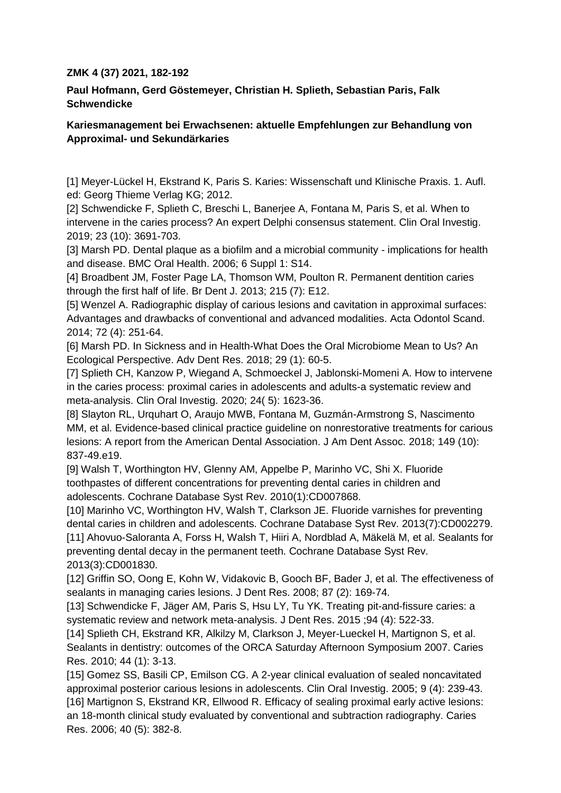## **ZMK 4 (37) 2021, 182-192**

**Paul Hofmann, Gerd Göstemeyer, Christian H. Splieth, Sebastian Paris, Falk Schwendicke**

## **Kariesmanagement bei Erwachsenen: aktuelle Empfehlungen zur Behandlung von Approximal- und Sekundärkaries**

[1] Meyer-Lückel H, Ekstrand K, Paris S. Karies: Wissenschaft und Klinische Praxis. 1. Aufl. ed: Georg Thieme Verlag KG; 2012.

[2] Schwendicke F, Splieth C, Breschi L, Banerjee A, Fontana M, Paris S, et al. When to intervene in the caries process? An expert Delphi consensus statement. Clin Oral Investig. 2019; 23 (10): 3691-703.

[3] Marsh PD. Dental plaque as a biofilm and a microbial community - implications for health and disease. BMC Oral Health. 2006; 6 Suppl 1: S14.

[4] Broadbent JM, Foster Page LA, Thomson WM, Poulton R. Permanent dentition caries through the first half of life. Br Dent J. 2013; 215 (7): E12.

[5] Wenzel A. Radiographic display of carious lesions and cavitation in approximal surfaces: Advantages and drawbacks of conventional and advanced modalities. Acta Odontol Scand. 2014; 72 (4): 251-64.

[6] Marsh PD. In Sickness and in Health-What Does the Oral Microbiome Mean to Us? An Ecological Perspective. Adv Dent Res. 2018; 29 (1): 60-5.

[7] Splieth CH, Kanzow P, Wiegand A, Schmoeckel J, Jablonski-Momeni A. How to intervene in the caries process: proximal caries in adolescents and adults-a systematic review and meta-analysis. Clin Oral Investig. 2020; 24( 5): 1623-36.

[8] Slayton RL, Urquhart O, Araujo MWB, Fontana M, Guzmán-Armstrong S, Nascimento MM, et al. Evidence-based clinical practice guideline on nonrestorative treatments for carious lesions: A report from the American Dental Association. J Am Dent Assoc. 2018; 149 (10): 837-49.e19.

[9] Walsh T, Worthington HV, Glenny AM, Appelbe P, Marinho VC, Shi X. Fluoride toothpastes of different concentrations for preventing dental caries in children and adolescents. Cochrane Database Syst Rev. 2010(1):CD007868.

[10] Marinho VC, Worthington HV, Walsh T, Clarkson JE. Fluoride varnishes for preventing dental caries in children and adolescents. Cochrane Database Syst Rev. 2013(7):CD002279. [11] Ahovuo-Saloranta A, Forss H, Walsh T, Hiiri A, Nordblad A, Mäkelä M, et al. Sealants for preventing dental decay in the permanent teeth. Cochrane Database Syst Rev. 2013(3):CD001830.

[12] Griffin SO, Oong E, Kohn W, Vidakovic B, Gooch BF, Bader J, et al. The effectiveness of sealants in managing caries lesions. J Dent Res. 2008; 87 (2): 169-74.

[13] Schwendicke F, Jäger AM, Paris S, Hsu LY, Tu YK. Treating pit-and-fissure caries: a systematic review and network meta-analysis. J Dent Res. 2015 ;94 (4): 522-33.

[14] Splieth CH, Ekstrand KR, Alkilzy M, Clarkson J, Meyer-Lueckel H, Martignon S, et al. Sealants in dentistry: outcomes of the ORCA Saturday Afternoon Symposium 2007. Caries Res. 2010; 44 (1): 3-13.

[15] Gomez SS, Basili CP, Emilson CG. A 2-year clinical evaluation of sealed noncavitated approximal posterior carious lesions in adolescents. Clin Oral Investig. 2005; 9 (4): 239-43. [16] Martignon S, Ekstrand KR, Ellwood R. Efficacy of sealing proximal early active lesions: an 18-month clinical study evaluated by conventional and subtraction radiography. Caries Res. 2006; 40 (5): 382-8.